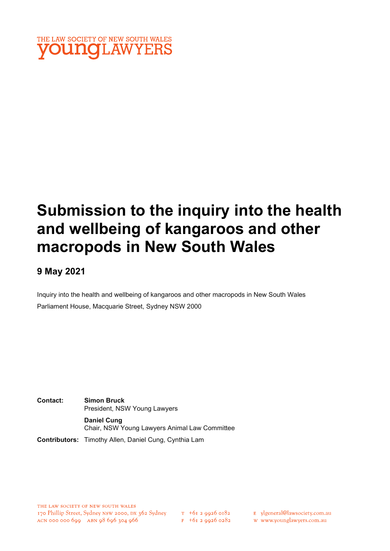

# Submission to the inquiry into the health and wellbeing of kangaroos and other macropods in New South Wales

## 9 May 2021

Inquiry into the health and wellbeing of kangaroos and other macropods in New South Wales Parliament House, Macquarie Street, Sydney NSW 2000

Contact: Simon Bruck President, NSW Young Lawyers Daniel Cung Chair, NSW Young Lawyers Animal Law Committee

Contributors: Timothy Allen, Daniel Cung, Cynthia Lam

 $F + 6I$  2 9926 0282

E ylgeneral@lawsociety.com.au

w www.younglawyers.com.au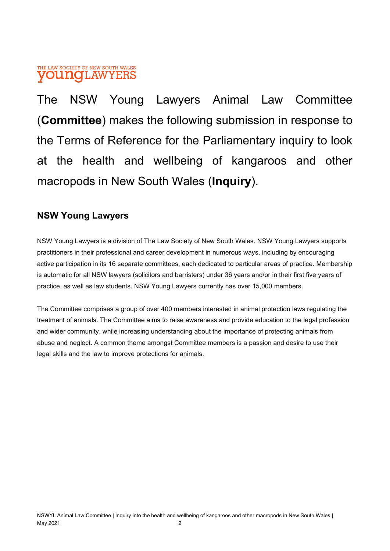### THE LAW SOCIETY OF NEW SOUTH WALES **OUNOI, AWYERS**

The NSW Young Lawyers Animal Law Committee (Committee) makes the following submission in response to the Terms of Reference for the Parliamentary inquiry to look at the health and wellbeing of kangaroos and other macropods in New South Wales (Inquiry).

## NSW Young Lawyers

NSW Young Lawyers is a division of The Law Society of New South Wales. NSW Young Lawyers supports practitioners in their professional and career development in numerous ways, including by encouraging active participation in its 16 separate committees, each dedicated to particular areas of practice. Membership is automatic for all NSW lawyers (solicitors and barristers) under 36 years and/or in their first five years of practice, as well as law students. NSW Young Lawyers currently has over 15,000 members.

The Committee comprises a group of over 400 members interested in animal protection laws regulating the treatment of animals. The Committee aims to raise awareness and provide education to the legal profession and wider community, while increasing understanding about the importance of protecting animals from abuse and neglect. A common theme amongst Committee members is a passion and desire to use their legal skills and the law to improve protections for animals.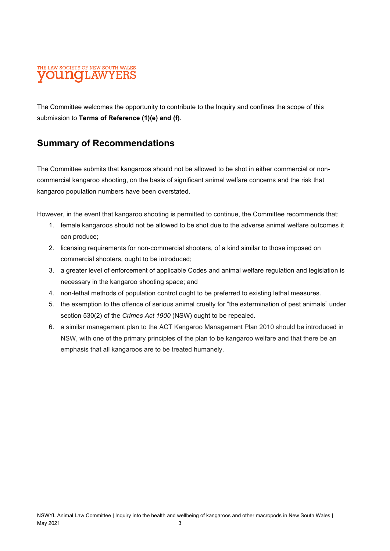## THE LAW SOCIETY OF NEW SOUTH WALES **OUNCILAWYEE**

The Committee welcomes the opportunity to contribute to the Inquiry and confines the scope of this submission to Terms of Reference (1)(e) and (f).

## Summary of Recommendations

The Committee submits that kangaroos should not be allowed to be shot in either commercial or noncommercial kangaroo shooting, on the basis of significant animal welfare concerns and the risk that kangaroo population numbers have been overstated.

However, in the event that kangaroo shooting is permitted to continue, the Committee recommends that:

- 1. female kangaroos should not be allowed to be shot due to the adverse animal welfare outcomes it can produce;
- 2. licensing requirements for non-commercial shooters, of a kind similar to those imposed on commercial shooters, ought to be introduced;
- 3. a greater level of enforcement of applicable Codes and animal welfare regulation and legislation is necessary in the kangaroo shooting space; and
- 4. non-lethal methods of population control ought to be preferred to existing lethal measures.
- 5. the exemption to the offence of serious animal cruelty for "the extermination of pest animals" under section 530(2) of the Crimes Act 1900 (NSW) ought to be repealed.
- 6. a similar management plan to the ACT Kangaroo Management Plan 2010 should be introduced in NSW, with one of the primary principles of the plan to be kangaroo welfare and that there be an emphasis that all kangaroos are to be treated humanely.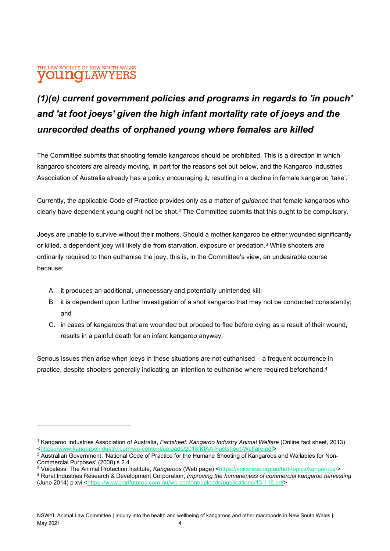## THE LAW SOCIETY OF NEW SOUTH WALES **UNOLAW**

## (1)(e) current government policies and programs in regards to 'in pouch' and 'at foot joeys' given the high infant mortality rate of joeys and the unrecorded deaths of orphaned young where females are killed

The Committee submits that shooting female kangaroos should be prohibited. This is a direction in which kangaroo shooters are already moving, in part for the reasons set out below, and the Kangaroo Industries Association of Australia already has a policy encouraging it, resulting in a decline in female kangaroo 'take'.<sup>1</sup>

Currently, the applicable Code of Practice provides only as a matter of *quidance* that female kangaroos who clearly have dependent young ought not be shot.<sup>2</sup> The Committee submits that this ought to be compulsory.

Joeys are unable to survive without their mothers. Should a mother kangaroo be either wounded significantly or killed, a dependent joey will likely die from starvation, exposure or predation.<sup>3</sup> While shooters are ordinarily required to then euthanise the joey, this is, in the Committee's view, an undesirable course because:

- A. it produces an additional, unnecessary and potentially unintended kill;
- B. it is dependent upon further investigation of a shot kangaroo that may not be conducted consistently; and
- C. in cases of kangaroos that are wounded but proceed to flee before dying as a result of their wound, results in a painful death for an infant kangaroo anyway.

Serious issues then arise when joeys in these situations are not euthanised – a frequent occurrence in practice, despite shooters generally indicating an intention to euthanise where required beforehand.<sup>4</sup>

<sup>&</sup>lt;sup>1</sup> Kangaroo Industries Association of Australia, Factsheet: Kangaroo Industry Animal Welfare (Online fact sheet, 2013) <https://www.kangarooindustry.com/wp-content/uploads/2018/KIAA-Factsheet-Welfare.pdf>

 $^2$  Australian Government, 'National Code of Practice for the Humane Shooting of Kangaroos and Wallabies for Non-Commercial Purposes' (2008) s 2.4.

<sup>&</sup>lt;sup>3</sup> Voiceless: The Animal Protection Institute, Kangaroos (Web page) <https://voiceless.org.au/hot-topics/kangaroos/>

<sup>&</sup>lt;sup>4</sup> Rural Industries Research & Development Corporation, Improving the humaneness of commercial kangaroo harvesting (June 2014) p xvi <https://www.agrifutures.com.au/wp-content/uploads/publications/13-116.pdf>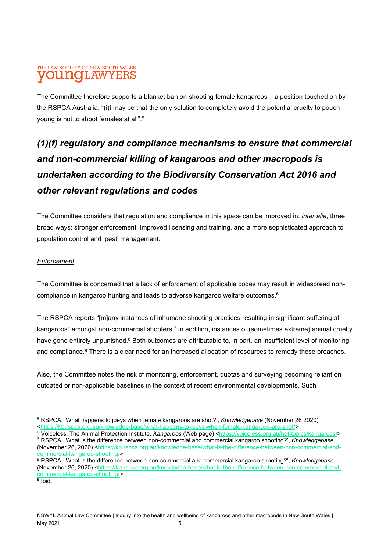#### THE LAW SOCIETY OF NEW SOUTH WALES **OUNGLAW** YEI

The Committee therefore supports a blanket ban on shooting female kangaroos – a position touched on by the RSPCA Australia; "(i)t may be that the only solution to completely avoid the potential cruelty to pouch young is not to shoot females at all".<sup>5</sup>

## (1)(f) regulatory and compliance mechanisms to ensure that commercial and non-commercial killing of kangaroos and other macropods is undertaken according to the Biodiversity Conservation Act 2016 and other relevant regulations and codes

The Committee considers that regulation and compliance in this space can be improved in, *inter alia*, three broad ways; stronger enforcement, improved licensing and training, and a more sophisticated approach to population control and 'pest' management.

#### **Enforcement**

The Committee is concerned that a lack of enforcement of applicable codes may result in widespread noncompliance in kangaroo hunting and leads to adverse kangaroo welfare outcomes.<sup>6</sup>

The RSPCA reports "[m]any instances of inhumane shooting practices resulting in significant suffering of kangaroos" amongst non-commercial shooters.<sup>7</sup> In addition, instances of (sometimes extreme) animal cruelty have gone entirely unpunished.<sup>8</sup> Both outcomes are attributable to, in part, an insufficient level of monitoring and compliance.<sup>9</sup> There is a clear need for an increased allocation of resources to remedy these breaches.

Also, the Committee notes the risk of monitoring, enforcement, quotas and surveying becoming reliant on outdated or non-applicable baselines in the context of recent environmental developments. Such

<sup>&</sup>lt;sup>5</sup> RSPCA, 'What happens to joeys when female kangaroos are shot?', *Knowledgebase* (November 26 2020) <https://kb.rspca.org.au/knowledge-base/what-happens-to-joeys-when-female-kangaroos-are-shot/>

<sup>&</sup>lt;sup>6</sup> Voiceless: The Animal Protection Institute, Kangaroos (Web page) <https://voiceless.org.au/hot-topics/kangaroos/> <sup>7</sup> RSPCA, 'What is the difference between non-commercial and commercial kangaroo shooting?', Knowledgebase (November 26, 2020) <https://kb.rspca.org.au/knowledge-base/what-is-the-difference-between-non-commercial-andcommercial-kangaroo-shooting/>

 $^8$  RSPCA, 'What is the difference between non-commercial and commercial kangaroo shooting?', *Knowledgebase* (November 26, 2020) <https://kb.rspca.org.au/knowledge-base/what-is-the-difference-between-non-commercial-andcommercial-kangaroo-shooting/>

<sup>&</sup>lt;sup>9</sup> Ibid.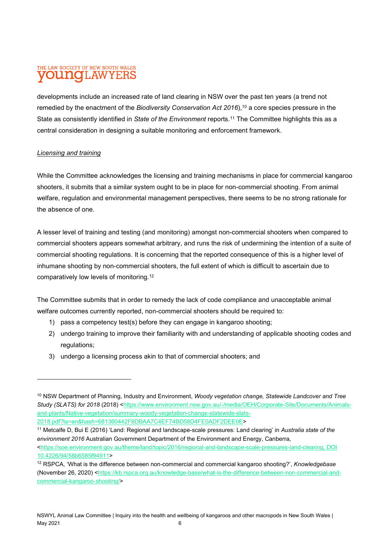## THE LAW SOCIETY OF NEW SOUTH WALES **OUNOLAWYERS**

developments include an increased rate of land clearing in NSW over the past ten years (a trend not remedied by the enactment of the Biodiversity Conservation Act  $2016$ ,  $10$  a core species pressure in the State as consistently identified in State of the Environment reports.<sup>11</sup> The Committee highlights this as a central consideration in designing a suitable monitoring and enforcement framework.

#### Licensing and training

While the Committee acknowledges the licensing and training mechanisms in place for commercial kangaroo shooters, it submits that a similar system ought to be in place for non-commercial shooting. From animal welfare, regulation and environmental management perspectives, there seems to be no strong rationale for the absence of one.

A lesser level of training and testing (and monitoring) amongst non-commercial shooters when compared to commercial shooters appears somewhat arbitrary, and runs the risk of undermining the intention of a suite of commercial shooting regulations. It is concerning that the reported consequence of this is a higher level of inhumane shooting by non-commercial shooters, the full extent of which is difficult to ascertain due to comparatively low levels of monitoring.<sup>12</sup>

The Committee submits that in order to remedy the lack of code compliance and unacceptable animal welfare outcomes currently reported, non-commercial shooters should be required to:

- 1) pass a competency test(s) before they can engage in kangaroo shooting;
- 2) undergo training to improve their familiarity with and understanding of applicable shooting codes and regulations;
- 3) undergo a licensing process akin to that of commercial shooters; and

<sup>&</sup>lt;sup>10</sup> NSW Department of Planning, Industry and Environment, Woody vegetation change, Statewide Landcover and Tree Study (SLATS) for 2018 (2018) <https://www.environment.nsw.gov.au/-/media/OEH/Corporate-Site/Documents/Animalsand-plants/Native-vegetation/summary-woody-vegetation-change-statewide-slats-2018.pdf?la=en&hash=681360442F8DBAA7C4EF74BD58D4FE0ADF2DEE0E>

<sup>&</sup>lt;sup>11</sup> Metcalfe D, Bui E (2016) 'Land: Regional and landscape-scale pressures: Land clearing' in Australia state of the environment 2016 Australian Government Department of the Environment and Energy, Canberra,

<sup>&</sup>lt;https://soe.environment.gov.au/theme/land/topic/2016/regional-and-landscape-scale-pressures-land-clearing, DOI 10.4226/94/58b6585f94911>

 $12$  RSPCA, 'What is the difference between non-commercial and commercial kangaroo shooting?', Knowledgebase (November 26, 2020) <https://kb.rspca.org.au/knowledge-base/what-is-the-difference-between-non-commercial-andcommercial-kangaroo-shooting/>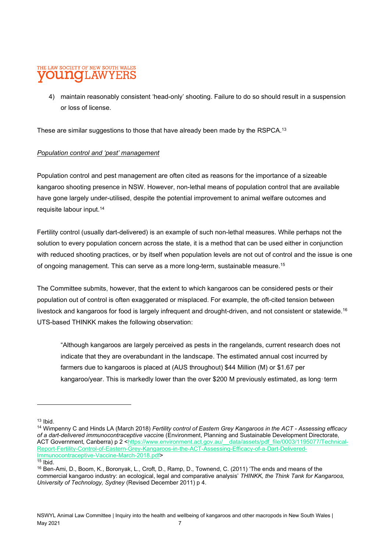#### THE LAW SOCIETY OF NEW SOUTH WALES no 'LAW

4) maintain reasonably consistent 'head-only' shooting. Failure to do so should result in a suspension or loss of license.

These are similar suggestions to those that have already been made by the RSPCA.<sup>13</sup>

#### Population control and 'pest' management

Population control and pest management are often cited as reasons for the importance of a sizeable kangaroo shooting presence in NSW. However, non-lethal means of population control that are available have gone largely under-utilised, despite the potential improvement to animal welfare outcomes and requisite labour input.<sup>14</sup>

Fertility control (usually dart-delivered) is an example of such non-lethal measures. While perhaps not the solution to every population concern across the state, it is a method that can be used either in conjunction with reduced shooting practices, or by itself when population levels are not out of control and the issue is one of ongoing management. This can serve as a more long-term, sustainable measure.<sup>15</sup>

The Committee submits, however, that the extent to which kangaroos can be considered pests or their population out of control is often exaggerated or misplaced. For example, the oft-cited tension between livestock and kangaroos for food is largely infrequent and drought-driven, and not consistent or statewide.<sup>16</sup> UTS-based THINKK makes the following observation:

"Although kangaroos are largely perceived as pests in the rangelands, current research does not indicate that they are overabundant in the landscape. The estimated annual cost incurred by farmers due to kangaroos is placed at (AUS throughout) \$44 Million (M) or \$1.67 per kangaroo/year. This is markedly lower than the over \$200 M previously estimated, as long‐term

 $13$  Ibid.

<sup>&</sup>lt;sup>14</sup> Wimpenny C and Hinds LA (March 2018) Fertility control of Eastern Grey Kangaroos in the ACT - Assessing efficacy of a dart-delivered immunocontraceptive vaccine (Environment, Planning and Sustainable Development Directorate, ACT Government, Canberra) p 2 <https://www.environment.act.gov.au/ \_data/assets/pdf\_file/0003/1195077/Technical-Report-Fertility-Control-of-Eastern-Grey-Kangaroos-in-the-ACT-Assessing-Efficacy-of-a-Dart-Delivered-Immunocontraceptive-Vaccine-March-2018.pdf>  $\frac{15}{15}$  Ibid.

<sup>16</sup> Ben‐Ami, D., Boom, K., Boronyak, L., Croft, D., Ramp, D., Townend, C. (2011) 'The ends and means of the commercial kangaroo industry: an ecological, legal and comparative analysis' THINKK, the Think Tank for Kangaroos, University of Technology, Sydney (Revised December 2011) p 4.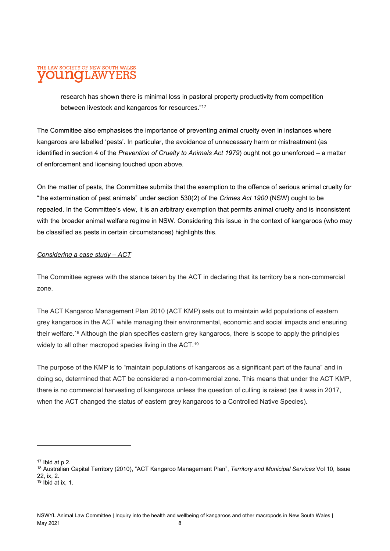## THE LAW SOCIETY OF NEW SOUTH WALES **LAWYER**

research has shown there is minimal loss in pastoral property productivity from competition between livestock and kangaroos for resources."<sup>17</sup>

The Committee also emphasises the importance of preventing animal cruelty even in instances where kangaroos are labelled 'pests'. In particular, the avoidance of unnecessary harm or mistreatment (as identified in section 4 of the Prevention of Cruelty to Animals Act 1979) ought not go unenforced – a matter of enforcement and licensing touched upon above.

On the matter of pests, the Committee submits that the exemption to the offence of serious animal cruelty for "the extermination of pest animals" under section 530(2) of the Crimes Act 1900 (NSW) ought to be repealed. In the Committee's view, it is an arbitrary exemption that permits animal cruelty and is inconsistent with the broader animal welfare regime in NSW. Considering this issue in the context of kangaroos (who may be classified as pests in certain circumstances) highlights this.

#### Considering a case study – ACT

The Committee agrees with the stance taken by the ACT in declaring that its territory be a non-commercial zone.

The ACT Kangaroo Management Plan 2010 (ACT KMP) sets out to maintain wild populations of eastern grey kangaroos in the ACT while managing their environmental, economic and social impacts and ensuring their welfare.<sup>18</sup> Although the plan specifies eastern grey kangaroos, there is scope to apply the principles widely to all other macropod species living in the ACT.<sup>19</sup>

The purpose of the KMP is to "maintain populations of kangaroos as a significant part of the fauna" and in doing so, determined that ACT be considered a non-commercial zone. This means that under the ACT KMP, there is no commercial harvesting of kangaroos unless the question of culling is raised (as it was in 2017, when the ACT changed the status of eastern grey kangaroos to a Controlled Native Species).

 $17$  Ibid at p 2.

<sup>&</sup>lt;sup>18</sup> Australian Capital Territory (2010), "ACT Kangaroo Management Plan", Territory and Municipal Services Vol 10, Issue 22, ix, 2.

 $19$  Ibid at ix, 1.